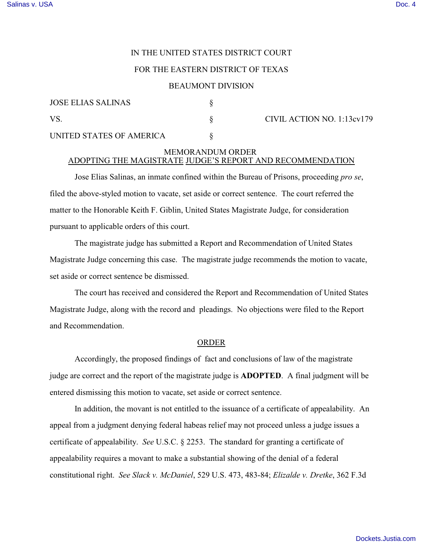# IN THE UNITED STATES DISTRICT COURT

### FOR THE EASTERN DISTRICT OF TEXAS

#### BEAUMONT DIVISION

| JOSE ELIAS SALINAS       |                            |
|--------------------------|----------------------------|
| - VS                     | CIVIL ACTION NO. 1:13cv179 |
| UNITED STATES OF AMERICA |                            |

# MEMORANDUM ORDER ADOPTING THE MAGISTRATE JUDGE'S REPORT AND RECOMMENDATION

Jose Elias Salinas, an inmate confined within the Bureau of Prisons, proceeding *pro se*, filed the above-styled motion to vacate, set aside or correct sentence. The court referred the matter to the Honorable Keith F. Giblin, United States Magistrate Judge, for consideration pursuant to applicable orders of this court.

The magistrate judge has submitted a Report and Recommendation of United States Magistrate Judge concerning this case. The magistrate judge recommends the motion to vacate, set aside or correct sentence be dismissed.

The court has received and considered the Report and Recommendation of United States Magistrate Judge, along with the record and pleadings. No objections were filed to the Report and Recommendation.

### ORDER

Accordingly, the proposed findings of fact and conclusions of law of the magistrate judge are correct and the report of the magistrate judge is **ADOPTED**. A final judgment will be entered dismissing this motion to vacate, set aside or correct sentence.

In addition, the movant is not entitled to the issuance of a certificate of appealability. An appeal from a judgment denying federal habeas relief may not proceed unless a judge issues a certificate of appealability. *See* U.S.C. § 2253. The standard for granting a certificate of appealability requires a movant to make a substantial showing of the denial of a federal constitutional right. *See Slack v. McDaniel*, 529 U.S. 473, 483-84; *Elizalde v. Dretke*, 362 F.3d